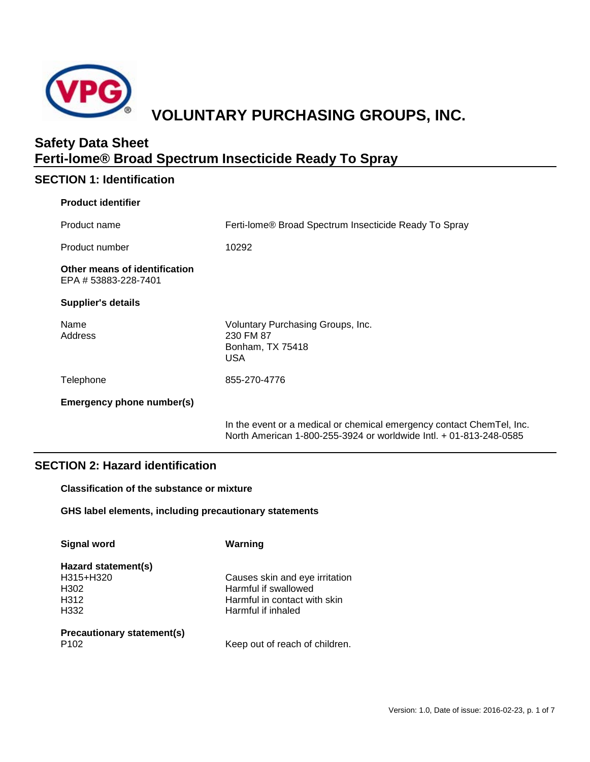

# **VOLUNTARY PURCHASING GROUPS, INC.**

# **Safety Data Sheet Ferti-lome® Broad Spectrum Insecticide Ready To Spray**

# **SECTION 1: Identification**

| <b>Product identifier</b>                             |                                                                                  |
|-------------------------------------------------------|----------------------------------------------------------------------------------|
| Product name                                          | Ferti-lome® Broad Spectrum Insecticide Ready To Spray                            |
| Product number                                        | 10292                                                                            |
| Other means of identification<br>EPA # 53883-228-7401 |                                                                                  |
| <b>Supplier's details</b>                             |                                                                                  |
| Name<br>Address                                       | Voluntary Purchasing Groups, Inc.<br>230 FM 87<br>Bonham, TX 75418<br><b>USA</b> |
| Telephone                                             | 855-270-4776                                                                     |
| Emergency phone number(s)                             |                                                                                  |
|                                                       | In the event or a medical or chemical emergency contact ChemTel, Inc.            |

North American 1-800-255-3924 or worldwide Intl. + 01-813-248-0585

# **SECTION 2: Hazard identification**

**Classification of the substance or mixture**

**GHS label elements, including precautionary statements**

| <b>Signal word</b>                                       | Warning                                                                                                      |
|----------------------------------------------------------|--------------------------------------------------------------------------------------------------------------|
| Hazard statement(s)<br>H315+H320<br>H302<br>H312<br>H332 | Causes skin and eye irritation<br>Harmful if swallowed<br>Harmful in contact with skin<br>Harmful if inhaled |
| Precautionary statement(s)<br>P <sub>102</sub>           | Keep out of reach of children.                                                                               |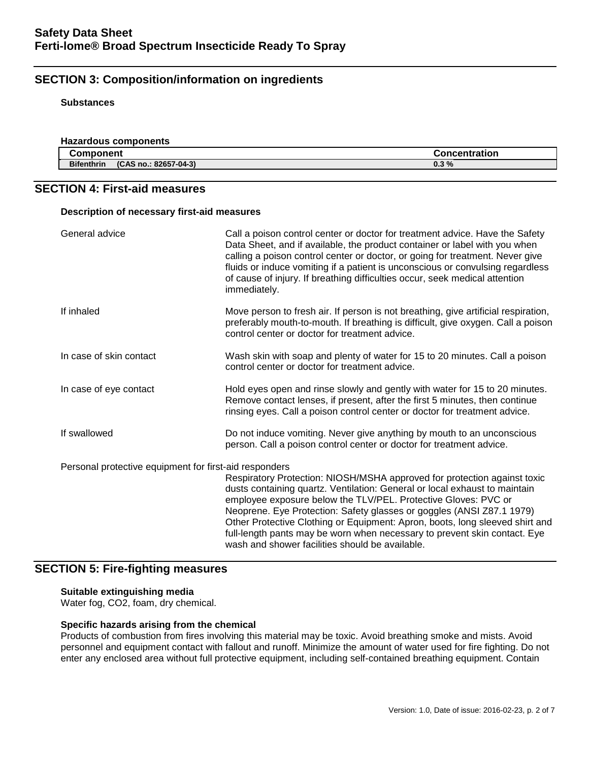# **SECTION 3: Composition/information on ingredients**

#### **Substances**

| <b>Hazardous components</b>                |                      |
|--------------------------------------------|----------------------|
| Component                                  | <b>Concentration</b> |
| <b>Bifenthrin</b><br>(CAS no.: 82657-04-3) | 0.3%                 |

# **SECTION 4: First-aid measures**

#### **Description of necessary first-aid measures**

| General advice                                         | Call a poison control center or doctor for treatment advice. Have the Safety<br>Data Sheet, and if available, the product container or label with you when<br>calling a poison control center or doctor, or going for treatment. Never give<br>fluids or induce vomiting if a patient is unconscious or convulsing regardless<br>of cause of injury. If breathing difficulties occur, seek medical attention<br>immediately.                                                                                      |
|--------------------------------------------------------|-------------------------------------------------------------------------------------------------------------------------------------------------------------------------------------------------------------------------------------------------------------------------------------------------------------------------------------------------------------------------------------------------------------------------------------------------------------------------------------------------------------------|
| If inhaled                                             | Move person to fresh air. If person is not breathing, give artificial respiration,<br>preferably mouth-to-mouth. If breathing is difficult, give oxygen. Call a poison<br>control center or doctor for treatment advice.                                                                                                                                                                                                                                                                                          |
| In case of skin contact                                | Wash skin with soap and plenty of water for 15 to 20 minutes. Call a poison<br>control center or doctor for treatment advice.                                                                                                                                                                                                                                                                                                                                                                                     |
| In case of eye contact                                 | Hold eyes open and rinse slowly and gently with water for 15 to 20 minutes.<br>Remove contact lenses, if present, after the first 5 minutes, then continue<br>rinsing eyes. Call a poison control center or doctor for treatment advice.                                                                                                                                                                                                                                                                          |
| If swallowed                                           | Do not induce vomiting. Never give anything by mouth to an unconscious<br>person. Call a poison control center or doctor for treatment advice.                                                                                                                                                                                                                                                                                                                                                                    |
| Personal protective equipment for first-aid responders | Respiratory Protection: NIOSH/MSHA approved for protection against toxic<br>dusts containing quartz. Ventilation: General or local exhaust to maintain<br>employee exposure below the TLV/PEL. Protective Gloves: PVC or<br>Neoprene. Eye Protection: Safety glasses or goggles (ANSI Z87.1 1979)<br>Other Protective Clothing or Equipment: Apron, boots, long sleeved shirt and<br>full-length pants may be worn when necessary to prevent skin contact. Eye<br>wash and shower facilities should be available. |

# **SECTION 5: Fire-fighting measures**

#### **Suitable extinguishing media**

Water fog, CO2, foam, dry chemical.

# **Specific hazards arising from the chemical**

Products of combustion from fires involving this material may be toxic. Avoid breathing smoke and mists. Avoid personnel and equipment contact with fallout and runoff. Minimize the amount of water used for fire fighting. Do not enter any enclosed area without full protective equipment, including self-contained breathing equipment. Contain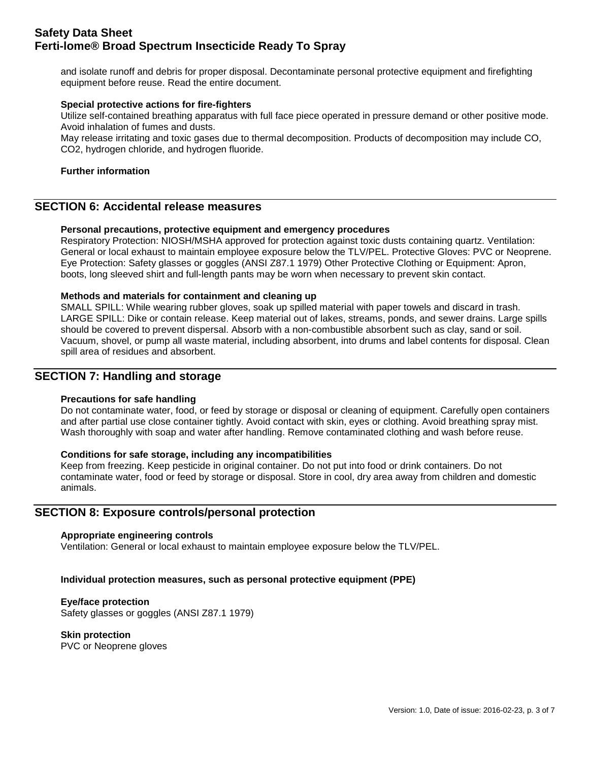and isolate runoff and debris for proper disposal. Decontaminate personal protective equipment and firefighting equipment before reuse. Read the entire document.

#### **Special protective actions for fire-fighters**

Utilize self-contained breathing apparatus with full face piece operated in pressure demand or other positive mode. Avoid inhalation of fumes and dusts.

May release irritating and toxic gases due to thermal decomposition. Products of decomposition may include CO, CO2, hydrogen chloride, and hydrogen fluoride.

#### **Further information**

# **SECTION 6: Accidental release measures**

#### **Personal precautions, protective equipment and emergency procedures**

Respiratory Protection: NIOSH/MSHA approved for protection against toxic dusts containing quartz. Ventilation: General or local exhaust to maintain employee exposure below the TLV/PEL. Protective Gloves: PVC or Neoprene. Eye Protection: Safety glasses or goggles (ANSI Z87.1 1979) Other Protective Clothing or Equipment: Apron, boots, long sleeved shirt and full-length pants may be worn when necessary to prevent skin contact.

#### **Methods and materials for containment and cleaning up**

SMALL SPILL: While wearing rubber gloves, soak up spilled material with paper towels and discard in trash. LARGE SPILL: Dike or contain release. Keep material out of lakes, streams, ponds, and sewer drains. Large spills should be covered to prevent dispersal. Absorb with a non-combustible absorbent such as clay, sand or soil. Vacuum, shovel, or pump all waste material, including absorbent, into drums and label contents for disposal. Clean spill area of residues and absorbent.

# **SECTION 7: Handling and storage**

#### **Precautions for safe handling**

Do not contaminate water, food, or feed by storage or disposal or cleaning of equipment. Carefully open containers and after partial use close container tightly. Avoid contact with skin, eyes or clothing. Avoid breathing spray mist. Wash thoroughly with soap and water after handling. Remove contaminated clothing and wash before reuse.

#### **Conditions for safe storage, including any incompatibilities**

Keep from freezing. Keep pesticide in original container. Do not put into food or drink containers. Do not contaminate water, food or feed by storage or disposal. Store in cool, dry area away from children and domestic animals.

## **SECTION 8: Exposure controls/personal protection**

#### **Appropriate engineering controls**

Ventilation: General or local exhaust to maintain employee exposure below the TLV/PEL.

# **Individual protection measures, such as personal protective equipment (PPE)**

# **Eye/face protection**

Safety glasses or goggles (ANSI Z87.1 1979)

**Skin protection**

PVC or Neoprene gloves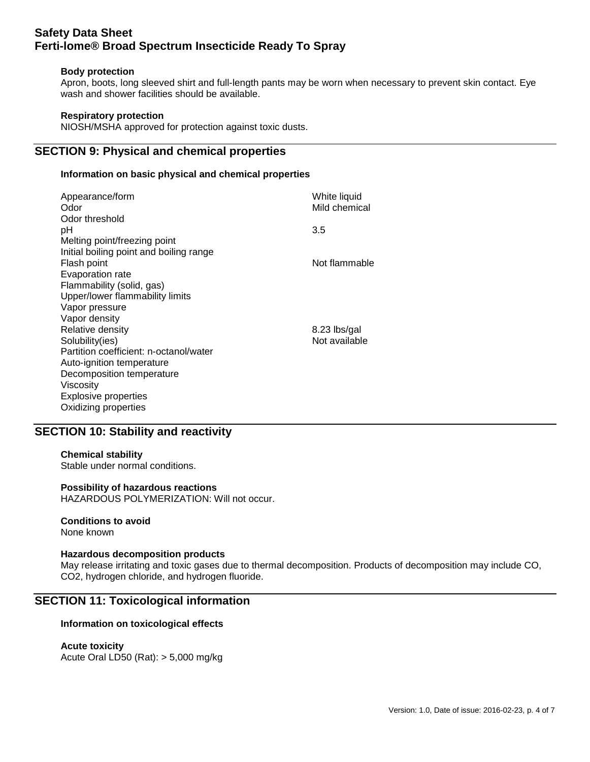#### **Body protection**

Apron, boots, long sleeved shirt and full-length pants may be worn when necessary to prevent skin contact. Eye wash and shower facilities should be available.

### **Respiratory protection**

NIOSH/MSHA approved for protection against toxic dusts.

# **SECTION 9: Physical and chemical properties**

## **Information on basic physical and chemical properties**

| Appearance/form<br>Odor<br>Odor threshold                    | White liquid<br>Mild chemical |
|--------------------------------------------------------------|-------------------------------|
| рH                                                           | 3.5                           |
| Melting point/freezing point                                 |                               |
| Initial boiling point and boiling range<br>Flash point       | Not flammable                 |
| Evaporation rate                                             |                               |
| Flammability (solid, gas)<br>Upper/lower flammability limits |                               |
| Vapor pressure                                               |                               |
| Vapor density                                                |                               |
| Relative density                                             | 8.23 lbs/gal                  |
| Solubility(ies)                                              | Not available                 |
| Partition coefficient: n-octanol/water                       |                               |
| Auto-ignition temperature                                    |                               |
| Decomposition temperature                                    |                               |
| Viscosity                                                    |                               |
| Explosive properties                                         |                               |
| Oxidizing properties                                         |                               |

# **SECTION 10: Stability and reactivity**

# **Chemical stability**

Stable under normal conditions.

#### **Possibility of hazardous reactions**

HAZARDOUS POLYMERIZATION: Will not occur.

# **Conditions to avoid**

None known

#### **Hazardous decomposition products**

May release irritating and toxic gases due to thermal decomposition. Products of decomposition may include CO, CO2, hydrogen chloride, and hydrogen fluoride.

# **SECTION 11: Toxicological information**

#### **Information on toxicological effects**

# **Acute toxicity**

Acute Oral LD50 (Rat): > 5,000 mg/kg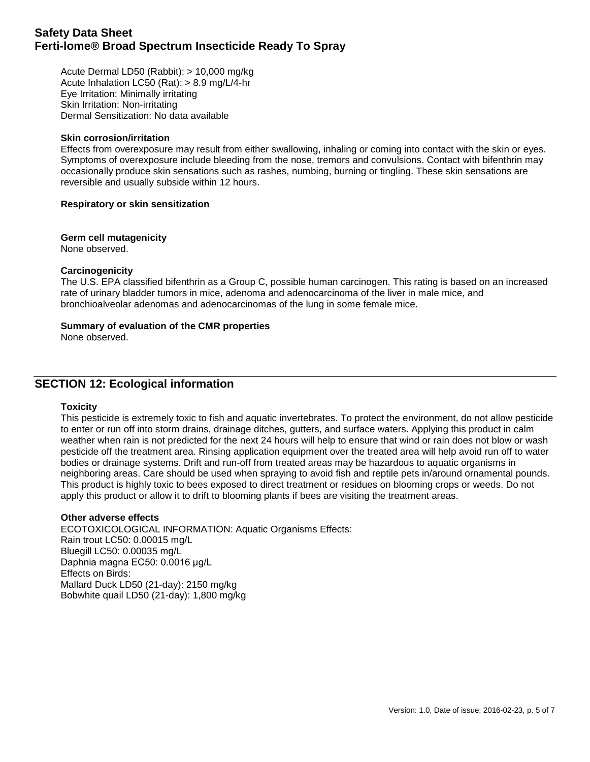Acute Dermal LD50 (Rabbit): > 10,000 mg/kg Acute Inhalation LC50 (Rat): > 8.9 mg/L/4-hr Eye Irritation: Minimally irritating Skin Irritation: Non-irritating Dermal Sensitization: No data available

#### **Skin corrosion/irritation**

Effects from overexposure may result from either swallowing, inhaling or coming into contact with the skin or eyes. Symptoms of overexposure include bleeding from the nose, tremors and convulsions. Contact with bifenthrin may occasionally produce skin sensations such as rashes, numbing, burning or tingling. These skin sensations are reversible and usually subside within 12 hours.

#### **Respiratory or skin sensitization**

**Germ cell mutagenicity** None observed.

#### **Carcinogenicity**

The U.S. EPA classified bifenthrin as a Group C, possible human carcinogen. This rating is based on an increased rate of urinary bladder tumors in mice, adenoma and adenocarcinoma of the liver in male mice, and bronchioalveolar adenomas and adenocarcinomas of the lung in some female mice.

#### **Summary of evaluation of the CMR properties**

None observed.

# **SECTION 12: Ecological information**

#### **Toxicity**

This pesticide is extremely toxic to fish and aquatic invertebrates. To protect the environment, do not allow pesticide to enter or run off into storm drains, drainage ditches, gutters, and surface waters. Applying this product in calm weather when rain is not predicted for the next 24 hours will help to ensure that wind or rain does not blow or wash pesticide off the treatment area. Rinsing application equipment over the treated area will help avoid run off to water bodies or drainage systems. Drift and run-off from treated areas may be hazardous to aquatic organisms in neighboring areas. Care should be used when spraying to avoid fish and reptile pets in/around ornamental pounds. This product is highly toxic to bees exposed to direct treatment or residues on blooming crops or weeds. Do not apply this product or allow it to drift to blooming plants if bees are visiting the treatment areas.

#### **Other adverse effects**

ECOTOXICOLOGICAL INFORMATION: Aquatic Organisms Effects: Rain trout LC50: 0.00015 mg/L Bluegill LC50: 0.00035 mg/L Daphnia magna EC50: 0.0016 μg/L Effects on Birds: Mallard Duck LD50 (21-day): 2150 mg/kg Bobwhite quail LD50 (21-day): 1,800 mg/kg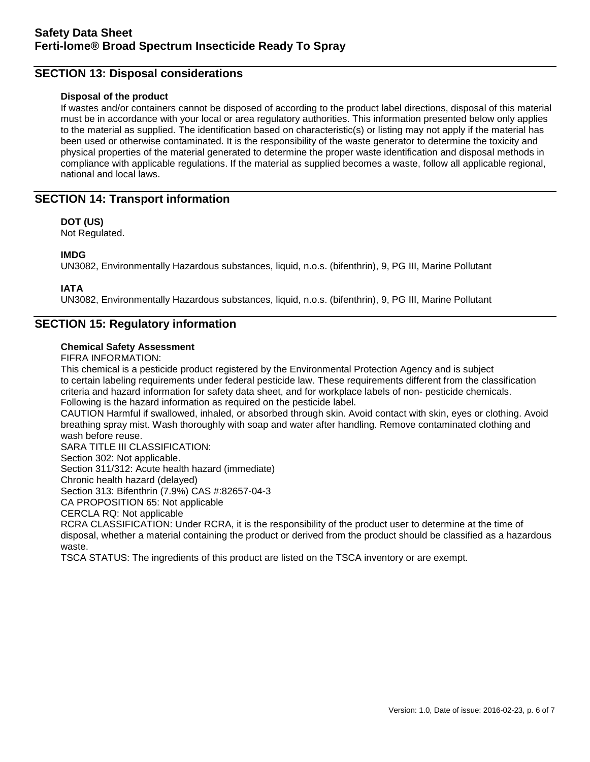# **SECTION 13: Disposal considerations**

### **Disposal of the product**

If wastes and/or containers cannot be disposed of according to the product label directions, disposal of this material must be in accordance with your local or area regulatory authorities. This information presented below only applies to the material as supplied. The identification based on characteristic(s) or listing may not apply if the material has been used or otherwise contaminated. It is the responsibility of the waste generator to determine the toxicity and physical properties of the material generated to determine the proper waste identification and disposal methods in compliance with applicable regulations. If the material as supplied becomes a waste, follow all applicable regional, national and local laws.

# **SECTION 14: Transport information**

## **DOT (US)**

Not Regulated.

# **IMDG**

UN3082, Environmentally Hazardous substances, liquid, n.o.s. (bifenthrin), 9, PG III, Marine Pollutant

## **IATA**

UN3082, Environmentally Hazardous substances, liquid, n.o.s. (bifenthrin), 9, PG III, Marine Pollutant

# **SECTION 15: Regulatory information**

#### **Chemical Safety Assessment**

FIFRA INFORMATION:

This chemical is a pesticide product registered by the Environmental Protection Agency and is subject to certain labeling requirements under federal pesticide law. These requirements different from the classification criteria and hazard information for safety data sheet, and for workplace labels of non- pesticide chemicals. Following is the hazard information as required on the pesticide label.

CAUTION Harmful if swallowed, inhaled, or absorbed through skin. Avoid contact with skin, eyes or clothing. Avoid breathing spray mist. Wash thoroughly with soap and water after handling. Remove contaminated clothing and wash before reuse.

SARA TITLE III CLASSIFICATION:

Section 302: Not applicable.

Section 311/312: Acute health hazard (immediate)

Chronic health hazard (delayed)

Section 313: Bifenthrin (7.9%) CAS #:82657-04-3

CA PROPOSITION 65: Not applicable

CERCLA RQ: Not applicable

RCRA CLASSIFICATION: Under RCRA, it is the responsibility of the product user to determine at the time of disposal, whether a material containing the product or derived from the product should be classified as a hazardous waste.

TSCA STATUS: The ingredients of this product are listed on the TSCA inventory or are exempt.